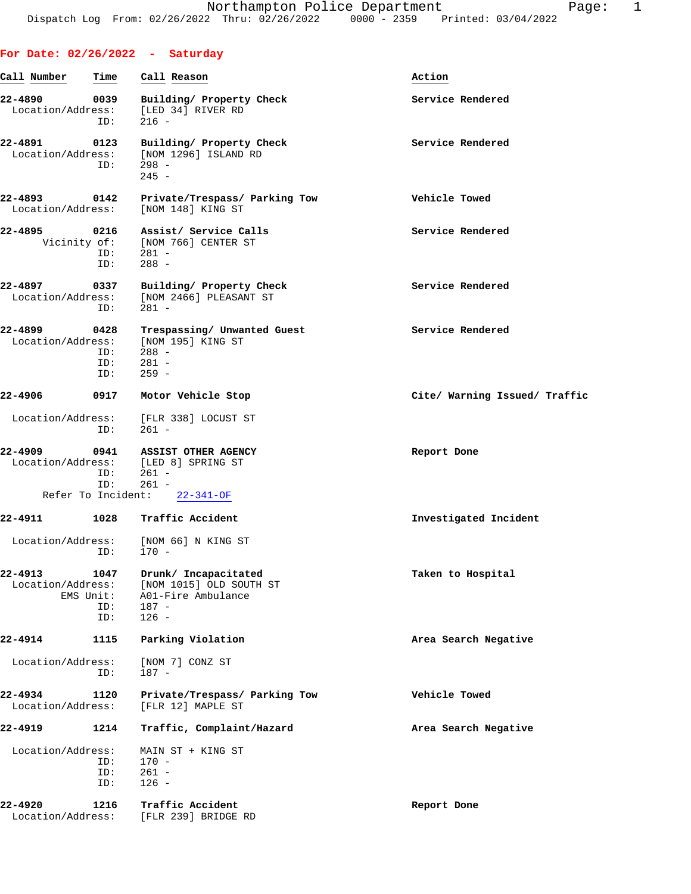|                              |                                          | For Date: $02/26/2022 - Saturday$                                                                   |                               |
|------------------------------|------------------------------------------|-----------------------------------------------------------------------------------------------------|-------------------------------|
| Call Number                  | Time                                     | Call Reason                                                                                         | Action                        |
| 22-4890<br>Location/Address: | 0039<br>ID:                              | Building/ Property Check<br>[LED 34] RIVER RD<br>$216 -$                                            | Service Rendered              |
| 22-4891<br>Location/Address: | 0123<br>ID:                              | Building/ Property Check<br>[NOM 1296] ISLAND RD<br>$298 -$<br>$245 -$                              | Service Rendered              |
| 22-4893                      | 0142                                     | Private/Trespass/ Parking Tow<br>Location/Address: [NOM 148] KING ST                                | Vehicle Towed                 |
| 22-4895<br>Vicinity of:      | 0216<br>ID:<br>ID:                       | Assist/ Service Calls<br>[NOM 766] CENTER ST<br>$281 -$<br>$288 -$                                  | Service Rendered              |
| 22-4897<br>Location/Address: | 0337<br>ID:                              | Building/ Property Check<br>[NOM 2466] PLEASANT ST<br>$281 -$                                       | Service Rendered              |
| 22-4899<br>Location/Address: | 0428<br>ID:<br>ID:<br>ID:                | Trespassing/ Unwanted Guest<br>[NOM 195] KING ST<br>$288 -$<br>281 -<br>$259 -$                     | Service Rendered              |
| 22-4906                      | 0917                                     | Motor Vehicle Stop                                                                                  | Cite/ Warning Issued/ Traffic |
|                              | ID:                                      | Location/Address: [FLR 338] LOCUST ST<br>$261 -$                                                    |                               |
| 22-4909                      | 0941<br>ID:<br>ID:<br>Refer To Incident: | ASSIST OTHER AGENCY<br>Location/Address: [LED 8] SPRING ST<br>$261 -$<br>$261 -$<br>$22 - 341 - OF$ | Report Done                   |
| 22-4911                      | 1028                                     | Traffic Accident                                                                                    | Investigated Incident         |
|                              | ID:                                      | Location/Address: [NOM 66] N KING ST<br>$170 -$                                                     |                               |
| 22-4913<br>Location/Address: | 1047<br>EMS Unit:<br>ID:<br>ID:          | Drunk/ Incapacitated<br>[NOM 1015] OLD SOUTH ST<br>A01-Fire Ambulance<br>187 -<br>$126 -$           | Taken to Hospital             |
| 22-4914                      | 1115                                     | Parking Violation                                                                                   | Area Search Negative          |
| Location/Address:            | ID:                                      | [NOM 7] CONZ ST<br>$187 -$                                                                          |                               |
| 22-4934<br>Location/Address: | 1120                                     | Private/Trespass/ Parking Tow<br>[FLR 12] MAPLE ST                                                  | Vehicle Towed                 |
| 22-4919                      | 1214                                     | Traffic, Complaint/Hazard                                                                           | Area Search Negative          |
| Location/Address:            | ID:<br>ID:<br>ID:                        | MAIN ST + KING ST<br>$170 -$<br>$261 -$<br>$126 -$                                                  |                               |
| 22-4920<br>Location/Address: | 1216                                     | Traffic Accident<br>[FLR 239] BRIDGE RD                                                             | Report Done                   |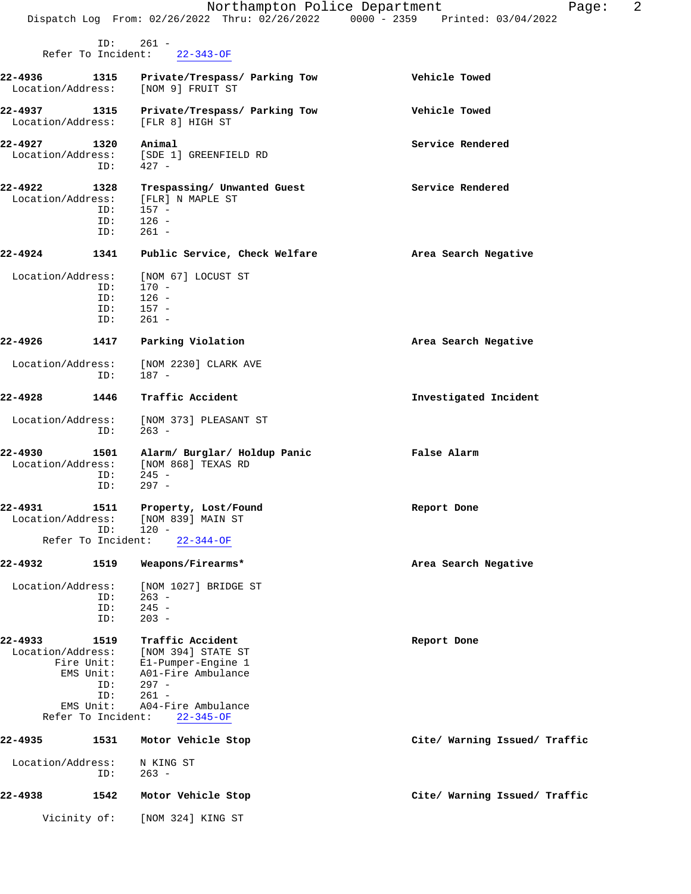|                                  |                                                                    | Dispatch Log From: 02/26/2022 Thru: 02/26/2022 0000 - 2359 Printed: 03/04/2022                                                                               | 2<br>Northampton Police Department<br>Page: |
|----------------------------------|--------------------------------------------------------------------|--------------------------------------------------------------------------------------------------------------------------------------------------------------|---------------------------------------------|
|                                  | ID:<br>Refer To Incident:                                          | $261 -$<br>$22 - 343 - OF$                                                                                                                                   |                                             |
|                                  |                                                                    |                                                                                                                                                              |                                             |
| $22 - 4936$<br>Location/Address: | 1315                                                               | Private/Trespass/ Parking Tow<br>[NOM 9] FRUIT ST                                                                                                            | Vehicle Towed                               |
| 22-4937<br>Location/Address:     | 1315                                                               | Private/Trespass/ Parking Tow<br>[FLR 8] HIGH ST                                                                                                             | Vehicle Towed                               |
| 22-4927<br>Location/Address:     | 1320<br>ID:                                                        | Animal<br>[SDE 1] GREENFIELD RD<br>$427 -$                                                                                                                   | Service Rendered                            |
| 22-4922<br>Location/Address:     | 1328<br>ID:<br>ID:                                                 | Trespassing/ Unwanted Guest<br>[FLR] N MAPLE ST<br>$157 -$<br>$126 -$                                                                                        | Service Rendered                            |
| $22 - 4924$                      | ID:                                                                | $261 -$                                                                                                                                                      |                                             |
|                                  | 1341                                                               | Public Service, Check Welfare                                                                                                                                | Area Search Negative                        |
| Location/Address:                | ID:<br>ID:<br>ID:<br>ID:                                           | [NOM 67] LOCUST ST<br>$170 -$<br>$126 -$<br>$157 -$<br>$261 -$                                                                                               |                                             |
| 22-4926                          | 1417                                                               | Parking Violation                                                                                                                                            | Area Search Negative                        |
| Location/Address:                | ID:                                                                | [NOM 2230] CLARK AVE<br>187 -                                                                                                                                |                                             |
| 22-4928                          | 1446                                                               | Traffic Accident                                                                                                                                             | Investigated Incident                       |
| Location/Address:                | ID:                                                                | [NOM 373] PLEASANT ST<br>$263 -$                                                                                                                             |                                             |
| 22-4930<br>Location/Address:     | 1501<br>ID:<br>ID:                                                 | Alarm/ Burglar/ Holdup Panic<br>[NOM 868] TEXAS RD<br>$245 -$<br>$297 -$                                                                                     | False Alarm                                 |
| 22-4931<br>Location/Address:     | ID:                                                                | 1511 Property, Lost/Found<br>[NOM 839] MAIN ST<br>$120 -$                                                                                                    | Report Done                                 |
|                                  | Refer To Incident:                                                 | $22 - 344 - OF$                                                                                                                                              |                                             |
| 22-4932                          | 1519                                                               | Weapons/Firearms*                                                                                                                                            | Area Search Negative                        |
| Location/Address:                | ID:<br>ID:<br>ID:                                                  | [NOM 1027] BRIDGE ST<br>$263 -$<br>$245 -$<br>$203 -$                                                                                                        |                                             |
| 22-4933<br>Location/Address:     | 1519<br>EMS Unit:<br>ID:<br>ID:<br>EMS Unit:<br>Refer To Incident: | Traffic Accident<br>[NOM 394] STATE ST<br>Fire Unit: E1-Pumper-Engine 1<br>A01-Fire Ambulance<br>$297 -$<br>$261 -$<br>A04-Fire Ambulance<br>$22 - 345 - OF$ | Report Done                                 |
| 22-4935                          | 1531                                                               | Motor Vehicle Stop                                                                                                                                           | Cite/ Warning Issued/ Traffic               |
| Location/Address:                | ID:                                                                | N KING ST<br>$263 -$                                                                                                                                         |                                             |
| 22-4938                          | 1542                                                               | Motor Vehicle Stop                                                                                                                                           | Cite/ Warning Issued/ Traffic               |
|                                  | Vicinity of:                                                       | [NOM 324] KING ST                                                                                                                                            |                                             |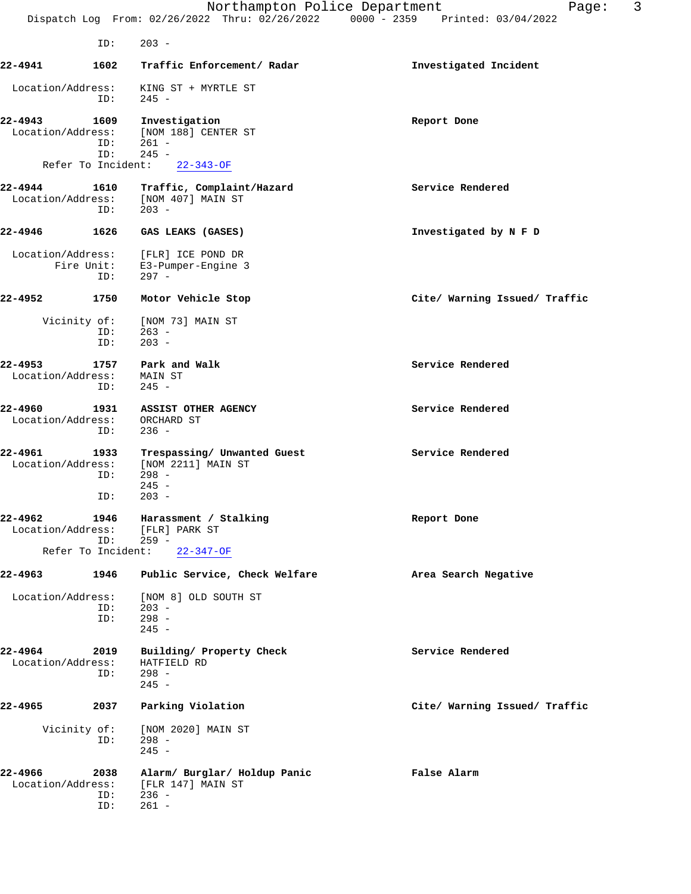|                                 |                    | Northampton Police Department<br>Dispatch Log From: 02/26/2022 Thru: 02/26/2022 0000 - 2359 Printed: 03/04/2022 | 3<br>Page:                    |
|---------------------------------|--------------------|-----------------------------------------------------------------------------------------------------------------|-------------------------------|
|                                 | ID:                | $203 -$                                                                                                         |                               |
| 22-4941                         | 1602               | Traffic Enforcement/ Radar                                                                                      | Investigated Incident         |
| Location/Address:               | ID:                | KING ST + MYRTLE ST<br>$245 -$                                                                                  |                               |
| 22-4943<br>Location/Address:    | 1609<br>ID:<br>ID: | Investigation<br>[NOM 188] CENTER ST<br>$261 -$<br>$245 -$                                                      | Report Done                   |
| Refer To Incident:              |                    | $22 - 343 - OF$                                                                                                 |                               |
| 22-4944<br>Location/Address:    | 1610<br>ID:        | Traffic, Complaint/Hazard<br>[NOM 407] MAIN ST<br>$203 -$                                                       | Service Rendered              |
| 22-4946                         | 1626               | GAS LEAKS (GASES)                                                                                               | Investigated by N F D         |
| Location/Address:<br>Fire Unit: | ID:                | [FLR] ICE POND DR<br>E3-Pumper-Engine 3<br>$297 -$                                                              |                               |
| 22-4952                         | 1750               | Motor Vehicle Stop                                                                                              | Cite/ Warning Issued/ Traffic |
| Vicinity of:                    | ID:<br>ID:         | [NOM 73] MAIN ST<br>$263 -$<br>$203 -$                                                                          |                               |
| 22-4953<br>Location/Address:    | 1757<br>ID:        | Park and Walk<br>MAIN ST<br>$245 -$                                                                             | Service Rendered              |
| 22-4960<br>Location/Address:    | 1931<br>ID:        | ASSIST OTHER AGENCY<br>ORCHARD ST<br>$236 -$                                                                    | Service Rendered              |
| 22-4961<br>Location/Address:    | 1933<br>ID:<br>ID: | Trespassing/ Unwanted Guest<br>[NOM 2211] MAIN ST<br>$298 -$<br>$245 -$<br>$203 -$                              | Service Rendered              |
| 22-4962<br>Location/Address:    | 1946<br>ID:        | Harassment / Stalking<br>[FLR] PARK ST<br>$259 -$<br>Refer To Incident: 22-347-OF                               | Report Done                   |
| 22-4963                         | 1946               | Public Service, Check Welfare                                                                                   | Area Search Negative          |
| Location/Address:               | ID:<br>ID:         | [NOM 8] OLD SOUTH ST<br>$203 -$<br>$298 -$<br>$245 -$                                                           |                               |
| 22-4964<br>Location/Address:    | 2019<br>ID:        | Building/ Property Check<br>HATFIELD RD<br>$298 -$<br>$245 -$                                                   | Service Rendered              |
| 22-4965                         | 2037               | Parking Violation                                                                                               | Cite/ Warning Issued/ Traffic |
| Vicinity of:                    | ID:                | [NOM 2020] MAIN ST<br>$298 -$<br>$245 -$                                                                        |                               |
| 22-4966<br>Location/Address:    | 2038<br>ID:<br>ID: | Alarm/ Burglar/ Holdup Panic<br>[FLR 147] MAIN ST<br>$236 -$<br>$261 -$                                         | False Alarm                   |